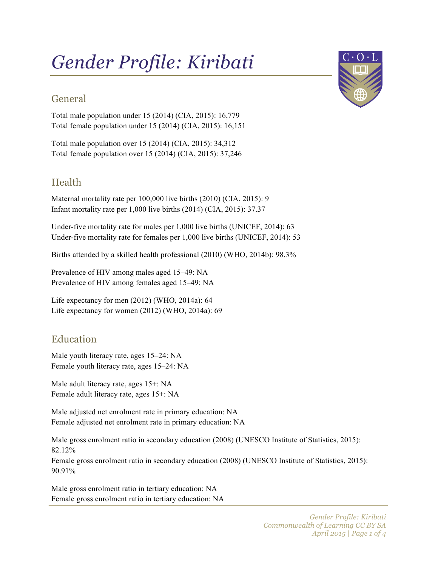# *Gender Profile: Kiribati*

# General

Total male population under 15 (2014) (CIA, 2015): 16,779 Total female population under 15 (2014) (CIA, 2015): 16,151

Total male population over 15 (2014) (CIA, 2015): 34,312 Total female population over 15 (2014) (CIA, 2015): 37,246

# Health

Maternal mortality rate per 100,000 live births (2010) (CIA, 2015): 9 Infant mortality rate per 1,000 live births (2014) (CIA, 2015): 37.37

Under-five mortality rate for males per 1,000 live births (UNICEF, 2014): 63 Under-five mortality rate for females per 1,000 live births (UNICEF, 2014): 53

Births attended by a skilled health professional (2010) (WHO, 2014b): 98.3%

Prevalence of HIV among males aged 15–49: NA Prevalence of HIV among females aged 15–49: NA

Life expectancy for men (2012) (WHO, 2014a): 64 Life expectancy for women (2012) (WHO, 2014a): 69

## Education

Male youth literacy rate, ages 15–24: NA Female youth literacy rate, ages 15–24: NA

Male adult literacy rate, ages 15+: NA Female adult literacy rate, ages 15+: NA

Male adjusted net enrolment rate in primary education: NA Female adjusted net enrolment rate in primary education: NA

Male gross enrolment ratio in secondary education (2008) (UNESCO Institute of Statistics, 2015): 82.12%

Female gross enrolment ratio in secondary education (2008) (UNESCO Institute of Statistics, 2015): 90.91%

Male gross enrolment ratio in tertiary education: NA Female gross enrolment ratio in tertiary education: NA

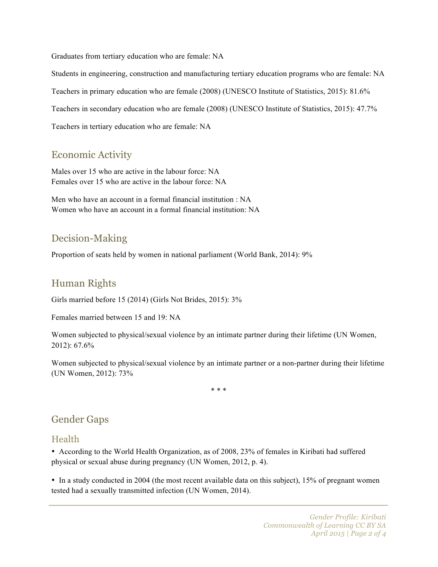Graduates from tertiary education who are female: NA

Students in engineering, construction and manufacturing tertiary education programs who are female: NA Teachers in primary education who are female (2008) (UNESCO Institute of Statistics, 2015): 81.6% Teachers in secondary education who are female (2008) (UNESCO Institute of Statistics, 2015): 47.7% Teachers in tertiary education who are female: NA

## Economic Activity

Males over 15 who are active in the labour force: NA Females over 15 who are active in the labour force: NA

Men who have an account in a formal financial institution : NA Women who have an account in a formal financial institution: NA

## Decision-Making

Proportion of seats held by women in national parliament (World Bank, 2014): 9%

#### Human Rights

Girls married before 15 (2014) (Girls Not Brides, 2015): 3%

Females married between 15 and 19: NA

Women subjected to physical/sexual violence by an intimate partner during their lifetime (UN Women, 2012): 67.6%

Women subjected to physical/sexual violence by an intimate partner or a non-partner during their lifetime (UN Women, 2012): 73%

\* \* \*

## Gender Gaps

#### Health

• According to the World Health Organization, as of 2008, 23% of females in Kiribati had suffered physical or sexual abuse during pregnancy (UN Women, 2012, p. 4).

• In a study conducted in 2004 (the most recent available data on this subject), 15% of pregnant women tested had a sexually transmitted infection (UN Women, 2014).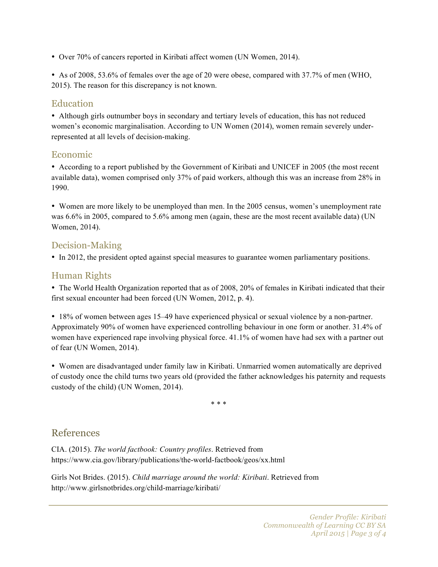• Over 70% of cancers reported in Kiribati affect women (UN Women, 2014).

• As of 2008, 53.6% of females over the age of 20 were obese, compared with 37.7% of men (WHO, 2015). The reason for this discrepancy is not known.

#### **Education**

• Although girls outnumber boys in secondary and tertiary levels of education, this has not reduced women's economic marginalisation. According to UN Women (2014), women remain severely underrepresented at all levels of decision-making.

#### Economic

• According to a report published by the Government of Kiribati and UNICEF in 2005 (the most recent available data), women comprised only 37% of paid workers, although this was an increase from 28% in 1990.

• Women are more likely to be unemployed than men. In the 2005 census, women's unemployment rate was 6.6% in 2005, compared to 5.6% among men (again, these are the most recent available data) (UN Women, 2014).

#### Decision-Making

• In 2012, the president opted against special measures to guarantee women parliamentary positions.

#### Human Rights

• The World Health Organization reported that as of 2008, 20% of females in Kiribati indicated that their first sexual encounter had been forced (UN Women, 2012, p. 4).

• 18% of women between ages 15–49 have experienced physical or sexual violence by a non-partner. Approximately 90% of women have experienced controlling behaviour in one form or another. 31.4% of women have experienced rape involving physical force. 41.1% of women have had sex with a partner out of fear (UN Women, 2014).

• Women are disadvantaged under family law in Kiribati. Unmarried women automatically are deprived of custody once the child turns two years old (provided the father acknowledges his paternity and requests custody of the child) (UN Women, 2014).

\* \* \*

#### References

CIA. (2015). *The world factbook: Country profiles*. Retrieved from https://www.cia.gov/library/publications/the-world-factbook/geos/xx.html

Girls Not Brides. (2015). *Child marriage around the world: Kiribati*. Retrieved from http://www.girlsnotbrides.org/child-marriage/kiribati/